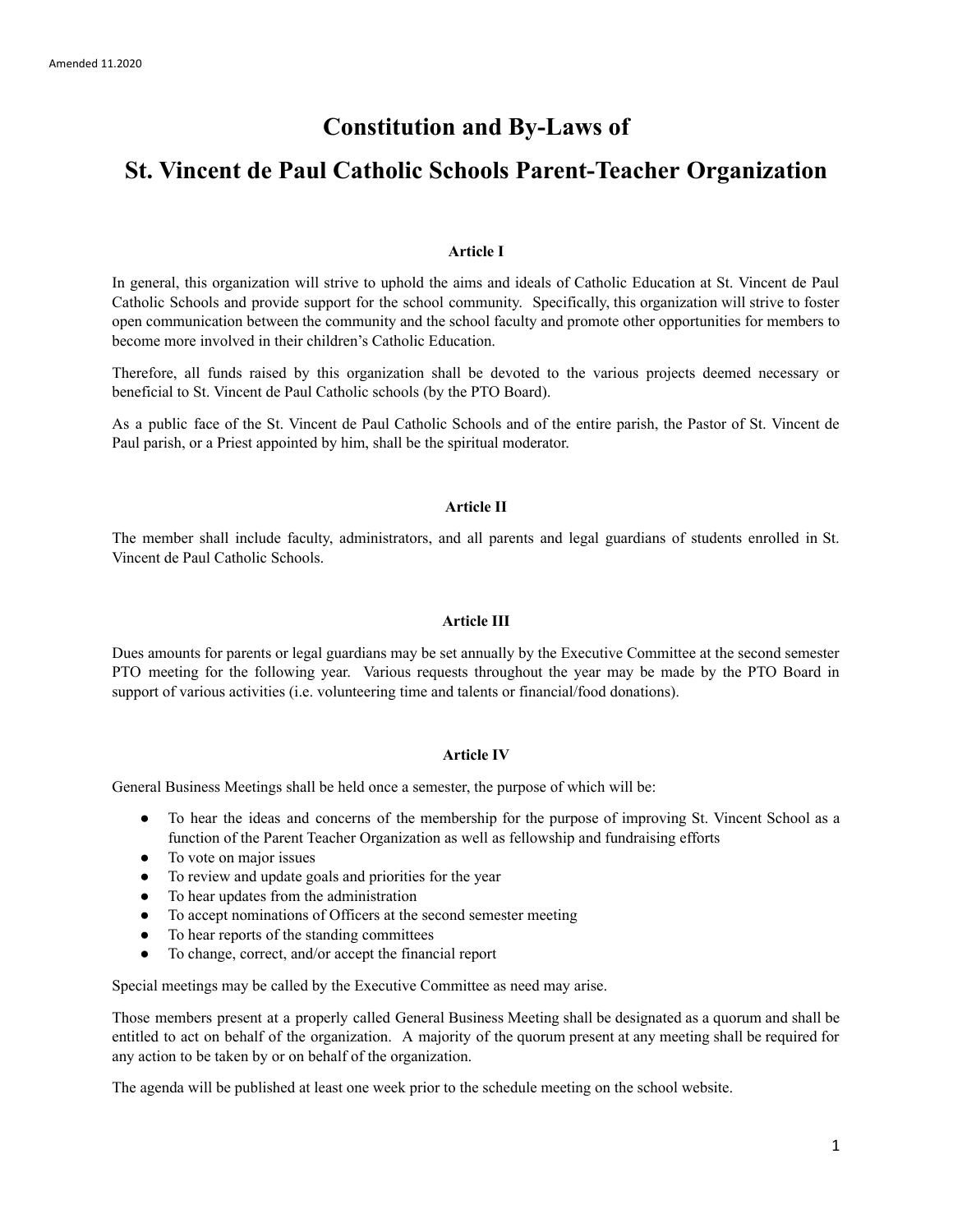# **Constitution and By-Laws of**

# **St. Vincent de Paul Catholic Schools Parent-Teacher Organization**

# **Article I**

In general, this organization will strive to uphold the aims and ideals of Catholic Education at St. Vincent de Paul Catholic Schools and provide support for the school community. Specifically, this organization will strive to foster open communication between the community and the school faculty and promote other opportunities for members to become more involved in their children's Catholic Education.

Therefore, all funds raised by this organization shall be devoted to the various projects deemed necessary or beneficial to St. Vincent de Paul Catholic schools (by the PTO Board).

As a public face of the St. Vincent de Paul Catholic Schools and of the entire parish, the Pastor of St. Vincent de Paul parish, or a Priest appointed by him, shall be the spiritual moderator.

### **Article II**

The member shall include faculty, administrators, and all parents and legal guardians of students enrolled in St. Vincent de Paul Catholic Schools.

### **Article III**

Dues amounts for parents or legal guardians may be set annually by the Executive Committee at the second semester PTO meeting for the following year. Various requests throughout the year may be made by the PTO Board in support of various activities (i.e. volunteering time and talents or financial/food donations).

# **Article IV**

General Business Meetings shall be held once a semester, the purpose of which will be:

- To hear the ideas and concerns of the membership for the purpose of improving St. Vincent School as a function of the Parent Teacher Organization as well as fellowship and fundraising efforts
- To vote on major issues
- To review and update goals and priorities for the year
- To hear updates from the administration
- To accept nominations of Officers at the second semester meeting
- To hear reports of the standing committees
- To change, correct, and/or accept the financial report

Special meetings may be called by the Executive Committee as need may arise.

Those members present at a properly called General Business Meeting shall be designated as a quorum and shall be entitled to act on behalf of the organization. A majority of the quorum present at any meeting shall be required for any action to be taken by or on behalf of the organization.

The agenda will be published at least one week prior to the schedule meeting on the school website.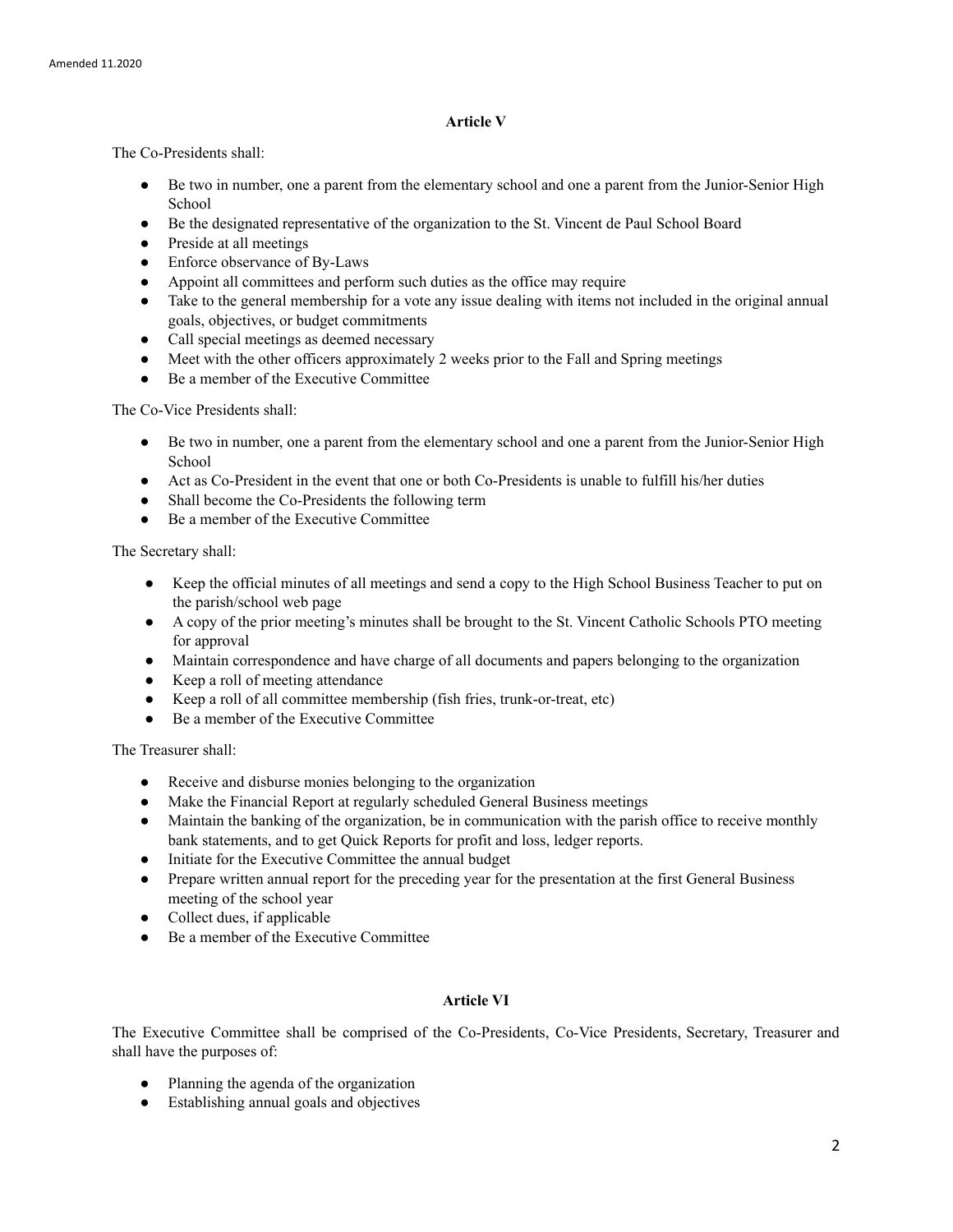# **Article V**

The Co-Presidents shall:

- Be two in number, one a parent from the elementary school and one a parent from the Junior-Senior High School
- Be the designated representative of the organization to the St. Vincent de Paul School Board
- Preside at all meetings
- Enforce observance of By-Laws
- Appoint all committees and perform such duties as the office may require
- Take to the general membership for a vote any issue dealing with items not included in the original annual goals, objectives, or budget commitments
- Call special meetings as deemed necessary
- Meet with the other officers approximately 2 weeks prior to the Fall and Spring meetings
- Be a member of the Executive Committee

The Co-Vice Presidents shall:

- Be two in number, one a parent from the elementary school and one a parent from the Junior-Senior High School
- Act as Co-President in the event that one or both Co-Presidents is unable to fulfill his/her duties
- Shall become the Co-Presidents the following term
- Be a member of the Executive Committee

The Secretary shall:

- Keep the official minutes of all meetings and send a copy to the High School Business Teacher to put on the parish/school web page
- A copy of the prior meeting's minutes shall be brought to the St. Vincent Catholic Schools PTO meeting for approval
- Maintain correspondence and have charge of all documents and papers belonging to the organization
- Keep a roll of meeting attendance
- Keep a roll of all committee membership (fish fries, trunk-or-treat, etc)
- Be a member of the Executive Committee

The Treasurer shall:

- Receive and disburse monies belonging to the organization
- Make the Financial Report at regularly scheduled General Business meetings
- Maintain the banking of the organization, be in communication with the parish office to receive monthly bank statements, and to get Quick Reports for profit and loss, ledger reports.
- Initiate for the Executive Committee the annual budget
- Prepare written annual report for the preceding year for the presentation at the first General Business meeting of the school year
- $\bullet$  Collect dues, if applicable
- Be a member of the Executive Committee

# **Article VI**

The Executive Committee shall be comprised of the Co-Presidents, Co-Vice Presidents, Secretary, Treasurer and shall have the purposes of:

- Planning the agenda of the organization
- Establishing annual goals and objectives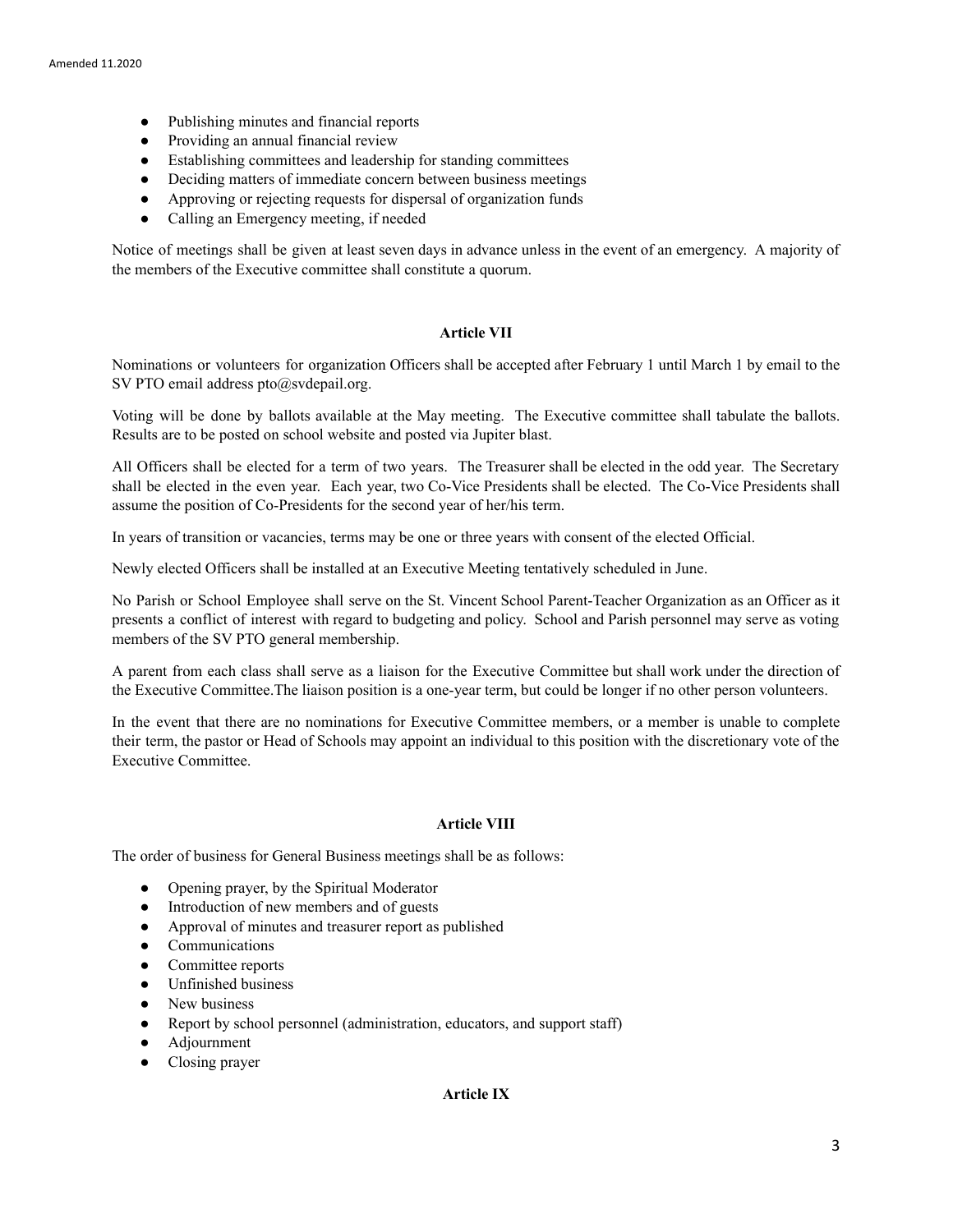- Publishing minutes and financial reports
- Providing an annual financial review
- Establishing committees and leadership for standing committees
- Deciding matters of immediate concern between business meetings
- Approving or rejecting requests for dispersal of organization funds
- Calling an Emergency meeting, if needed

Notice of meetings shall be given at least seven days in advance unless in the event of an emergency. A majority of the members of the Executive committee shall constitute a quorum.

## **Article VII**

Nominations or volunteers for organization Officers shall be accepted after February 1 until March 1 by email to the SV PTO email address pto@svdepail.org.

Voting will be done by ballots available at the May meeting. The Executive committee shall tabulate the ballots. Results are to be posted on school website and posted via Jupiter blast.

All Officers shall be elected for a term of two years. The Treasurer shall be elected in the odd year. The Secretary shall be elected in the even year. Each year, two Co-Vice Presidents shall be elected. The Co-Vice Presidents shall assume the position of Co-Presidents for the second year of her/his term.

In years of transition or vacancies, terms may be one or three years with consent of the elected Official.

Newly elected Officers shall be installed at an Executive Meeting tentatively scheduled in June.

No Parish or School Employee shall serve on the St. Vincent School Parent-Teacher Organization as an Officer as it presents a conflict of interest with regard to budgeting and policy. School and Parish personnel may serve as voting members of the SV PTO general membership.

A parent from each class shall serve as a liaison for the Executive Committee but shall work under the direction of the Executive Committee.The liaison position is a one-year term, but could be longer if no other person volunteers.

In the event that there are no nominations for Executive Committee members, or a member is unable to complete their term, the pastor or Head of Schools may appoint an individual to this position with the discretionary vote of the Executive Committee.

#### **Article VIII**

The order of business for General Business meetings shall be as follows:

- Opening prayer, by the Spiritual Moderator
- Introduction of new members and of guests
- Approval of minutes and treasurer report as published
- Communications
- Committee reports
- Unfinished business
- New business
- Report by school personnel (administration, educators, and support staff)
- Adjournment
- Closing prayer

# **Article IX**